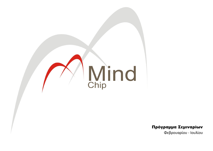

Πρόγραμμα Σεμιναρίων

Φεβρουαρίου - Ιουλίου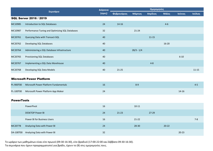|                   | Σεμινάριο                                       | Διάρκεια |             |              | Ημερομηνίες |           |           |           |
|-------------------|-------------------------------------------------|----------|-------------|--------------|-------------|-----------|-----------|-----------|
|                   |                                                 | (ώρες)   | Φεβρουάριος | Μάρτιος      | Απρίλιος    | Μάϊος     | Ιούνιος   | Ιούλιος   |
|                   | SQL Server 2016 / 2019                          |          |             |              |             |           |           |           |
| MC10985           | Introduction to SQL Databases                   | 24       | $14 - 16$   |              |             | $4 - 6$   |           |           |
| MC10987           | Performance Tuning and Optimizing SQL Databases | 32       |             | $21 - 24$    |             |           |           |           |
| MC20761           | Querying Data with Transact-SQL                 | 40       |             |              | $11 - 15$   |           |           |           |
| MC20762           | Developing SQL Databases                        | 40       |             |              |             | $16 - 20$ |           |           |
| MC20764           | Administering a SQL Database Infrastructure     | 40       |             | $28/3 - 1/4$ |             |           |           |           |
| MC20765           | Provisioning SQL Databases                      | 40       |             |              |             |           | $6 - 10$  |           |
| MC20767           | Implementing a SQL Data Warehouse               | 40       |             |              | $4 - 8$     |           |           |           |
| MC20768           | Developing SQL Data Models                      | 40       | $21-25$     |              |             |           |           | $11 - 15$ |
|                   | <b>Microsoft Power Platform</b>                 |          |             |              |             |           |           |           |
|                   |                                                 |          |             |              |             |           |           |           |
| PL-900T00         | Microsoft Power Platform Fundamentals           | 16       |             | $8 - 9$      |             |           |           | $4 - 5$   |
| PL-100T00         | Microsoft Power Platform App Maker              | 24       |             |              |             |           | $14 - 16$ |           |
| <b>PowerTools</b> |                                                 |          |             |              |             |           |           |           |
|                   | PowerPivot                                      | 16       |             | $10 - 11$    |             |           |           |           |
|                   | <b>DESKTOP Power BI</b>                         | 24       | $21-23$     |              | 27-29       |           |           |           |
|                   | Power BI for Business Users                     | 16       |             | $21-22$      |             |           |           | $7 - 8$   |
| MC20778           | Analyzing Data with Power BI                    | 24       |             | 28-30        |             | $20 - 22$ |           |           |
| DA-100T00         | Analyzing Data with Power BI                    | 32       |             |              |             |           | $20 - 23$ |           |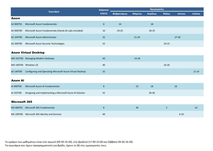|                      | Σεμινάριο                                                 | Διάρκεια       |             |           | Ημερομηνίες |           |           |           |
|----------------------|-----------------------------------------------------------|----------------|-------------|-----------|-------------|-----------|-----------|-----------|
|                      |                                                           | (ώρες)         | Φεβρουάριος | Μάρτιος   | Απρίλιος    | Μάϊος     | Ιούνιος   | Ιούλιος   |
| <b>Azure</b>         |                                                           |                |             |           |             |           |           |           |
| AZ-900T01            | Microsoft Azure Fundamentals                              | $\bf 8$        | 24          |           | 18          |           |           |           |
| AZ-900T00            | Microsoft Azure Fundamentals (Hands On Labs included)     | 16             | $24 - 25$   |           | 18-19       |           |           |           |
| AZ-104T00            | Microsoft Azure Administrator                             | 32             |             | $21 - 24$ |             |           | $27 - 30$ |           |
| AZ-500T00            | Microsoft Azure Security Technologies                     | 32             |             |           |             | $10-13$   |           |           |
|                      | <b>Azure Virtual Desktop</b>                              |                |             |           |             |           |           |           |
|                      | MD-101T00 Managing Modern Desktops                        | 40             |             | 14-18     |             |           |           |           |
|                      | MD-100T00 Windows 10                                      | 40             |             |           |             | $16 - 20$ |           |           |
| AZ-140T00            | Configuring and Operating Microsoft Azure Virtual Desktop | 32             |             |           |             |           |           | $11 - 14$ |
| <b>Azure Al</b>      |                                                           |                |             |           |             |           |           |           |
| AI-900T00            | Microsoft Azure AI Fundamentals                           | $\bf 8$        |             | 23        | 18          |           | 16        |           |
| AI-102T00            | Designing and Implementing a Microsoft Azure AI Solution  | 32             |             |           | 26-30       |           |           |           |
| <b>Microsoft 365</b> |                                                           |                |             |           |             |           |           |           |
| MS-900T01            | Microsoft 365 Fundamentals                                | $8\phantom{1}$ |             | 30        |             | 5         |           | 14        |
|                      | MS-100T00 Microsoft 365 Identity and Services             | 40             |             |           |             |           | $6 - 10$  |           |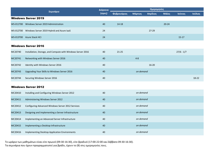|           |                                           | Διάρκεια | Ημερομηνίες        |                |           |           |           |         |  |  |
|-----------|-------------------------------------------|----------|--------------------|----------------|-----------|-----------|-----------|---------|--|--|
|           | Σεμινάριο                                 |          | <b>Φεβρουάριος</b> | <b>Μάρτιος</b> | Απρίλιος  | Μάϊος     | Ιούνιος   | Ιούλιος |  |  |
|           | <b>Windows Server 2019</b>                |          |                    |                |           |           |           |         |  |  |
| WS-011T00 | Windows Server 2019 Administration        | 40       | 14-18              |                |           | $20 - 24$ |           |         |  |  |
| WS-012T00 | Windows Server 2019 Hybrid and Azure laaS | 24       |                    |                | $27 - 29$ |           |           |         |  |  |
| WS-013T00 | <b>Azure Stack HCI</b>                    | 24       |                    |                |           |           | $15 - 17$ |         |  |  |

## Windows Server 2016

| MC20740 | Installation, Storage, and Compute with Windows Server 2016 | 40 | $21 - 25$ | $27/6 - 1/7$ |
|---------|-------------------------------------------------------------|----|-----------|--------------|
| MC20741 | Networking with Windows Server 2016                         | 40 | $4 - 8$   |              |
| MC20742 | Identity with Windows Server 2016                           | 40 |           | $16 - 20$    |
| MC20743 | Upgrading Your Skills to Windows Server 2016                | 40 | on demand |              |
| MC20744 | Securing Windows Server 2016                                | 40 |           | 18-22        |

## Windows Server 2012

| MC20410 | Installing and Configuring Windows Server 2012     | 40 | on demand |
|---------|----------------------------------------------------|----|-----------|
| MC20411 | Administering Windows Server 2012                  | 40 | on demand |
| MC20412 | Configuring Advanced Windows Server 2012 Services  | 40 | on demand |
| MC20413 | Designing and Implementing a Server Infrastructure | 40 | on demand |
| MC20414 | Implementing an Advanced Server Infrastructure     | 40 | on demand |
| MC20415 | Implementing a Desktop Infrastructure              | 40 | on demand |
| MC20416 | Implementing Desktop Application Environments      | 40 | on demand |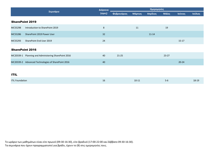|             |                                                      | Διάρκεια | Ημερομηνίες |         |           |           |           |         |  |  |
|-------------|------------------------------------------------------|----------|-------------|---------|-----------|-----------|-----------|---------|--|--|
|             | Σεμινάριο                                            | (ώρες)   | Φεβρουάριος | Μάρτιος | Απρίλιος  | Μάϊος     | Ιούνιος   | Ιούλιος |  |  |
|             | <b>SharePoint 2019</b>                               |          |             |         |           |           |           |         |  |  |
| MC55298     | Introduction to SharePoint 2019                      | $\,8\,$  |             | 11      |           | 19        |           |         |  |  |
| MC55286     | SharePoint 2019 Power User                           | 32       |             |         | $11 - 14$ |           |           |         |  |  |
| MC55293     | SharePoint End User 2019                             | 24       |             |         |           |           | $15-17$   |         |  |  |
|             |                                                      |          |             |         |           |           |           |         |  |  |
|             | <b>SharePoint 2016</b>                               |          |             |         |           |           |           |         |  |  |
|             | MC20339-1 Planning and Administering SharePoint 2016 | 40       | $21-25$     |         |           | $23 - 27$ |           |         |  |  |
|             | MC20339-2 Advanced Technologies of SharePoint 2016   | 40       |             |         |           |           | $20 - 24$ |         |  |  |
|             |                                                      |          |             |         |           |           |           |         |  |  |
| <b>ITIL</b> |                                                      |          |             |         |           |           |           |         |  |  |

| <b>ITIL Foundation</b> | . .<br>Ίp | $10 - 11$ | ס-כ | 18-19 |
|------------------------|-----------|-----------|-----|-------|
|                        |           |           |     |       |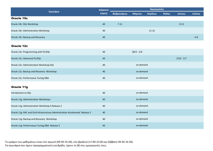|                                                                              | Διάρκεια | Ημερομηνίες |              |           |       |              |         |  |  |
|------------------------------------------------------------------------------|----------|-------------|--------------|-----------|-------|--------------|---------|--|--|
| Σεμινάριο                                                                    | (ώρες)   | Φεβρουάριος | Μάρτιος      | Απρίλιος  | Μάϊος | Ιούνιος      | Ιούλιος |  |  |
| Oracle 19c                                                                   |          |             |              |           |       |              |         |  |  |
| Oracle 19c: SQL Workshop                                                     | 40       | $7 - 11$    |              |           |       | $9 - 13$     |         |  |  |
| Oracle 19c: Administration Workshop                                          | 40       |             |              | $11 - 15$ |       |              |         |  |  |
| Oracle 19c: Backup and Recovery                                              | 40       |             |              |           |       |              | $4 - 8$ |  |  |
| <b>Oracle 12c</b>                                                            |          |             |              |           |       |              |         |  |  |
| Oracle 12c: Programming with PL/SQL                                          | 40       |             | $28/3 - 1/4$ |           |       |              |         |  |  |
| Oracle 12c: Advanced PL/SQL                                                  | 40       |             |              |           |       | $27/6 - 1/7$ |         |  |  |
| Oracle 12c: Administration Workshop Ed2                                      | 40       |             | on demand    |           |       |              |         |  |  |
| Oracle 12c: Backup and Recovery Workshop                                     | 40       |             | on demand    |           |       |              |         |  |  |
| Oracle 12c: Performance Tuning DBA                                           | 40       |             | on demand    |           |       |              |         |  |  |
| Oracle 11g                                                                   |          |             |              |           |       |              |         |  |  |
| Introduction to SQL                                                          | 40       |             | on demand    |           |       |              |         |  |  |
| Oracle 11g: Administration Workshop I                                        | 40       |             | on demand    |           |       |              |         |  |  |
| Oracle 11g: Administration Workshop II Release 2                             | 40       |             | on demand    |           |       |              |         |  |  |
| Oracle 11g: RAC and Grid Infrastructure Administration Accelerated Release 2 | 40       |             | on demand    |           |       |              |         |  |  |
| Oracle 11g: Backup and Recovery Workshop                                     | 40       |             | on demand    |           |       |              |         |  |  |
| Oracle 11g: Performance Tuning DBA Release 2                                 | 40       |             | on demand    |           |       |              |         |  |  |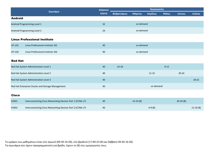|                   |                                                           | Διάρκεια | Ημερομηνίες |            |           |              |            |            |  |
|-------------------|-----------------------------------------------------------|----------|-------------|------------|-----------|--------------|------------|------------|--|
|                   | Σεμινάριο                                                 | (iúρες)  | Φεβρουάριος | Μάρτιος    | Απρίλιος  | <b>Μάϊος</b> | Ιούνιος    | Ιούλιος    |  |
| <b>Android</b>    |                                                           |          |             |            |           |              |            |            |  |
|                   | Android Programming Level 1                               | 32       |             | on demand  |           |              |            |            |  |
|                   | Android Programming Level 2                               | 24       | on demand   |            |           |              |            |            |  |
|                   | <b>Linux Professional Institute</b>                       |          |             |            |           |              |            |            |  |
| LPI-101           | Linux Professional Institute 101                          | 40       |             | on demand  |           |              |            |            |  |
| LPI-102           | Linux Professional Institute 102                          | 40       |             | on demand  |           |              |            |            |  |
| <b>Red Hat</b>    |                                                           |          |             |            |           |              |            |            |  |
|                   | Red Hat System Administration Level 1                     | 40       | $14 - 18$   |            |           | $9 - 13$     |            |            |  |
|                   | Red Hat System Administration Level 2                     | 40       |             |            | $11 - 15$ |              | $20 - 24$  |            |  |
|                   | Red Hat System Administration Level 3                     | 40       |             |            |           |              |            | 18-22      |  |
|                   | Red Hat Enterprise Cluster and Storage Management         | 40       |             |            | on demand |              |            |            |  |
| <b>Cisco</b>      |                                                           |          |             |            |           |              |            |            |  |
| ICND1             | Interconnecting Cisco Networking Devices Part 1 (CCNA v7) | 40       |             | $14-19(B)$ |           |              | $20-24(B)$ |            |  |
| ICND <sub>2</sub> | Interconnecting Cisco Networking Devices Part 2 (CCNA v7) | 40       |             |            | $4-9(B)$  |              |            | $11-16(B)$ |  |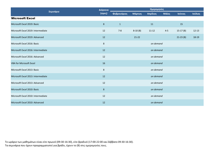| Σεμινάριο                          | Διάρκεια         | Ημερομηνίες  |           |           |         |            |           |  |  |
|------------------------------------|------------------|--------------|-----------|-----------|---------|------------|-----------|--|--|
|                                    | (ώρες)           | Φεβρουάριος  | Μάρτιος   | Απρίλιος  | Μάϊος   | Ιούνιος    | Ιούλιος   |  |  |
| <b>Microsoft Excel</b>             |                  |              |           |           |         |            |           |  |  |
| Microsoft Excel 2019: Basic        | 8                | $\mathbf{1}$ |           | 11        |         | 15         |           |  |  |
| Microsoft Excel 2019: Intermediate | 12               | $7 - 8$      | $8-10(B)$ | $11 - 12$ | $4 - 5$ | $15-17(B)$ | $12 - 13$ |  |  |
| Microsoft Excel 2019: Advanced     | 12               |              | $21-22$   |           |         | $21-23(B)$ | 18-19     |  |  |
| Microsoft Excel 2016: Basic        | $\bf 8$          |              |           | on demand |         |            |           |  |  |
| Microsoft Excel 2016: Intermediate | 12               | on demand    |           |           |         |            |           |  |  |
| Microsoft Excel 2016: Advanced     | 12               | on demand    |           |           |         |            |           |  |  |
| <b>VBA for Microsoft Excel</b>     | 16               |              |           | on demand |         |            |           |  |  |
| Microsoft Excel 2013: Basic        | $\bf 8$          |              |           | on demand |         |            |           |  |  |
| Microsoft Excel 2013: Intermediate | 12               |              |           | on demand |         |            |           |  |  |
| Microsoft Excel 2013: Advanced     | 12               |              |           | on demand |         |            |           |  |  |
| Microsoft Excel 2010: Basic        | $\boldsymbol{8}$ |              |           | on demand |         |            |           |  |  |
| Microsoft Excel 2010: Intermediate | 12               |              |           | on demand |         |            |           |  |  |
| Microsoft Excel 2010: Advanced     | 12               |              |           | on demand |         |            |           |  |  |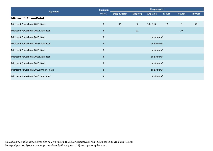|                                         | Διάρκεια         |             |           | Ημερομηνίες |       |         |         |  |  |
|-----------------------------------------|------------------|-------------|-----------|-------------|-------|---------|---------|--|--|
| Σεμινάριο                               | (ώρες)           | Φεβρουάριος | Μάρτιος   | Απρίλιος    | Μάϊος | Ιούνιος | Ιούλιος |  |  |
| <b>Microsoft PowerPoint</b>             |                  |             |           |             |       |         |         |  |  |
| Microsoft PowerPoint 2019: Basic        | 8                | 16          | 9         | $18-19(B)$  | 23    | 9       | 22      |  |  |
| Microsoft PowerPoint 2019: Advanced     | $\bf 8$          |             | 21        |             |       | 10      |         |  |  |
| Microsoft PowerPoint 2016: Basic        | $\,8\,$          |             | on demand |             |       |         |         |  |  |
| Microsoft PowerPoint 2016: Advanced     | $\boldsymbol{8}$ | on demand   |           |             |       |         |         |  |  |
| Microsoft PowerPoint 2013: Basic        | 8                |             |           | on demand   |       |         |         |  |  |
| Microsoft PowerPoint 2013: Advanced     | $8\phantom{1}$   |             |           | on demand   |       |         |         |  |  |
| Microsoft PowerPoint 2010: Basic        | 8                | on demand   |           |             |       |         |         |  |  |
| Microsoft PowerPoint 2010: Intermediate | $8\phantom{1}$   |             |           | on demand   |       |         |         |  |  |
| Microsoft PowerPoint 2010: Advanced     | 8                |             |           | on demand   |       |         |         |  |  |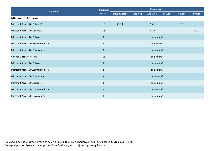|                                     | Διάρκεια       |                    | Ημερομηνίες |           |       |         |         |  |  |  |
|-------------------------------------|----------------|--------------------|-------------|-----------|-------|---------|---------|--|--|--|
| Σεμινάριο                           | (ώρες)         | <b>Φεβρουάριος</b> | Μάρτιος     | Απρίλιος  | Μάϊος | Ιούνιος | Ιούλιος |  |  |  |
| <b>Microsoft Access</b>             |                |                    |             |           |       |         |         |  |  |  |
| Microsoft Access 2019: Level 1      | 16             | $23 - 24$          |             | $5-6$     |       | $8-9$   |         |  |  |  |
| Microsoft Access 2019: Level 2      | 16             |                    |             | 28-29     |       |         | 18-19   |  |  |  |
| Microsoft Access 2016: Basic        | $8\phantom{1}$ |                    | on demand   |           |       |         |         |  |  |  |
| Microsoft Access 2016: Intermediate | $\,8\,$        |                    | on demand   |           |       |         |         |  |  |  |
| Microsoft Access 2016: Advanced     | 8              | on demand          |             |           |       |         |         |  |  |  |
| <b>VBA for Microsoft Access</b>     | 16             |                    |             | on demand |       |         |         |  |  |  |
| Microsoft Access 2013: Basic        | $8\phantom{1}$ |                    |             | on demand |       |         |         |  |  |  |
| Microsoft Access 2013: Intermediate | 8              |                    |             | on demand |       |         |         |  |  |  |
| Microsoft Access 2013: Advanced     | $8\phantom{1}$ |                    |             | on demand |       |         |         |  |  |  |
| Microsoft Access 2010: Basic        | $\,8\,$        |                    |             | on demand |       |         |         |  |  |  |
| Microsoft Access 2010: Intermediate | 8              |                    |             | on demand |       |         |         |  |  |  |
| Microsoft Access 2010: Advanced     | $\,8\,$        |                    |             | on demand |       |         |         |  |  |  |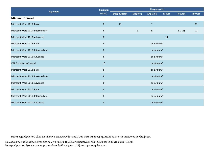| Σεμινάριο                         | Διάρκεια       | Ημερομηνίες        |             |                |       |          |         |  |
|-----------------------------------|----------------|--------------------|-------------|----------------|-------|----------|---------|--|
|                                   | (ώρες)         | <b>Φεβρουάριος</b> | Μάρτιος     | Απρίλιος       | Μάϊος | Ιούνιος  | Ιούλιος |  |
| <b>Microsoft Word</b>             |                |                    |             |                |       |          |         |  |
| Microsoft Word 2019: Basic        | 8              | 18                 |             | $\overline{7}$ |       |          | 13      |  |
| Microsoft Word 2019: Intermediate | 8              |                    | $2^{\circ}$ | 27             |       | $6-7(B)$ | 22      |  |
| Microsoft Word 2019: Advanced     | 8              |                    |             |                | 24    |          |         |  |
| Microsoft Word 2016: Basic        | 8              |                    | on demand   |                |       |          |         |  |
| Microsoft Word 2016: Intermediate | 8              | on demand          |             |                |       |          |         |  |
| Microsoft Word 2016: Advanced     | $\bf 8$        | on demand          |             |                |       |          |         |  |
| <b>VBA for Microsoft Word</b>     | 16             | on demand          |             |                |       |          |         |  |
| Microsoft Word 2013: Basic        | $\bf 8$        |                    | on demand   |                |       |          |         |  |
| Microsoft Word 2013: Intermediate | $\bf 8$        | on demand          |             |                |       |          |         |  |
| Microsoft Word 2013: Advanced     | $\bf 8$        | on demand          |             |                |       |          |         |  |
| Microsoft Word 2010: Basic        | $\bf 8$        | on demand          |             |                |       |          |         |  |
| Microsoft Word 2010: Intermediate | $\bf 8$        | on demand          |             |                |       |          |         |  |
| Microsoft Word 2010: Advanced     | $8\phantom{1}$ | on demand          |             |                |       |          |         |  |

Για τα σεμινάρια που είναι *on-demand* επικοινωνήστε μαζί μας ώστε να προγραμματίσουμε το τμήμα που σας ενδιαφέρει.